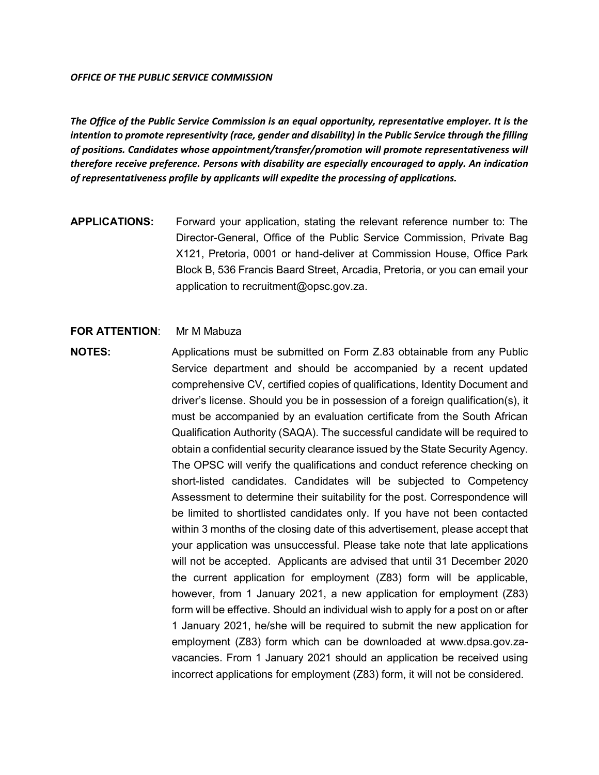#### *OFFICE OF THE PUBLIC SERVICE COMMISSION*

*The Office of the Public Service Commission is an equal opportunity, representative employer. It is the intention to promote representivity (race, gender and disability) in the Public Service through the filling of positions. Candidates whose appointment/transfer/promotion will promote representativeness will therefore receive preference. Persons with disability are especially encouraged to apply. An indication of representativeness profile by applicants will expedite the processing of applications.*

**APPLICATIONS:** Forward your application, stating the relevant reference number to: The Director-General, Office of the Public Service Commission, Private Bag X121, Pretoria, 0001 or hand-deliver at Commission House, Office Park Block B, 536 Francis Baard Street, Arcadia, Pretoria, or you can email your application to recruitment@opsc.gov.za.

#### **FOR ATTENTION:** Mr M Mabuza

**NOTES:** Applications must be submitted on Form Z.83 obtainable from any Public Service department and should be accompanied by a recent updated comprehensive CV, certified copies of qualifications, Identity Document and driver's license. Should you be in possession of a foreign qualification(s), it must be accompanied by an evaluation certificate from the South African Qualification Authority (SAQA). The successful candidate will be required to obtain a confidential security clearance issued by the State Security Agency. The OPSC will verify the qualifications and conduct reference checking on short-listed candidates. Candidates will be subjected to Competency Assessment to determine their suitability for the post. Correspondence will be limited to shortlisted candidates only. If you have not been contacted within 3 months of the closing date of this advertisement, please accept that your application was unsuccessful. Please take note that late applications will not be accepted. Applicants are advised that until 31 December 2020 the current application for employment (Z83) form will be applicable, however, from 1 January 2021, a new application for employment (Z83) form will be effective. Should an individual wish to apply for a post on or after 1 January 2021, he/she will be required to submit the new application for employment (Z83) form which can be downloaded at www.dpsa.gov.zavacancies. From 1 January 2021 should an application be received using incorrect applications for employment (Z83) form, it will not be considered.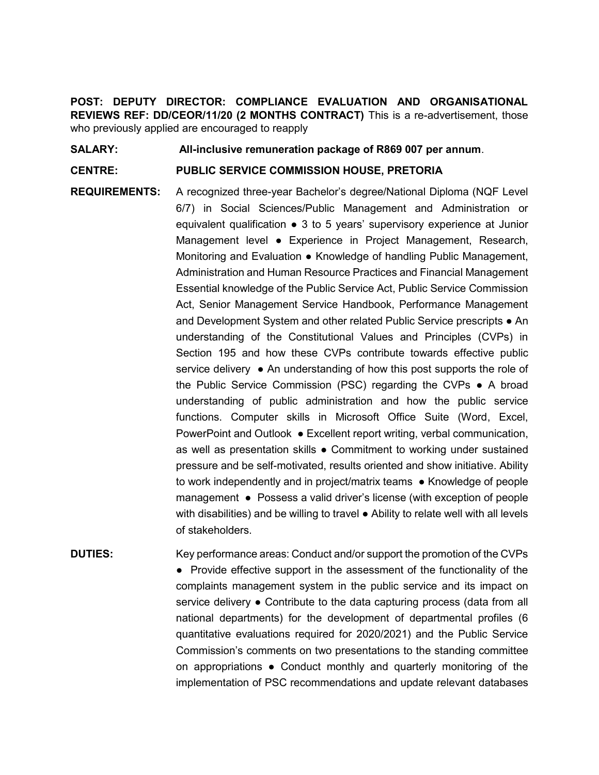**POST: DEPUTY DIRECTOR: COMPLIANCE EVALUATION AND ORGANISATIONAL REVIEWS REF: DD/CEOR/11/20 (2 MONTHS CONTRACT)** This is a re-advertisement, those who previously applied are encouraged to reapply

**SALARY: All-inclusive remuneration package of R869 007 per annum**.

## **CENTRE: PUBLIC SERVICE COMMISSION HOUSE, PRETORIA**

**REQUIREMENTS:** A recognized three-year Bachelor's degree/National Diploma (NQF Level 6/7) in Social Sciences/Public Management and Administration or equivalent qualification ● 3 to 5 years' supervisory experience at Junior Management level ● Experience in Project Management, Research, Monitoring and Evaluation • Knowledge of handling Public Management, Administration and Human Resource Practices and Financial Management Essential knowledge of the Public Service Act, Public Service Commission Act, Senior Management Service Handbook, Performance Management and Development System and other related Public Service prescripts • An understanding of the Constitutional Values and Principles (CVPs) in Section 195 and how these CVPs contribute towards effective public service delivery ● An understanding of how this post supports the role of the Public Service Commission (PSC) regarding the CVPs ● A broad understanding of public administration and how the public service functions. Computer skills in Microsoft Office Suite (Word, Excel, PowerPoint and Outlook ● Excellent report writing, verbal communication, as well as presentation skills ● Commitment to working under sustained pressure and be self-motivated, results oriented and show initiative. Ability to work independently and in project/matrix teams ● Knowledge of people management ● Possess a valid driver's license (with exception of people with disabilities) and be willing to travel ● Ability to relate well with all levels of stakeholders.

**DUTIES:** Key performance areas: Conduct and/or support the promotion of the CVPs ● Provide effective support in the assessment of the functionality of the complaints management system in the public service and its impact on service delivery • Contribute to the data capturing process (data from all national departments) for the development of departmental profiles (6 quantitative evaluations required for 2020/2021) and the Public Service Commission's comments on two presentations to the standing committee on appropriations  $\bullet$  Conduct monthly and quarterly monitoring of the implementation of PSC recommendations and update relevant databases